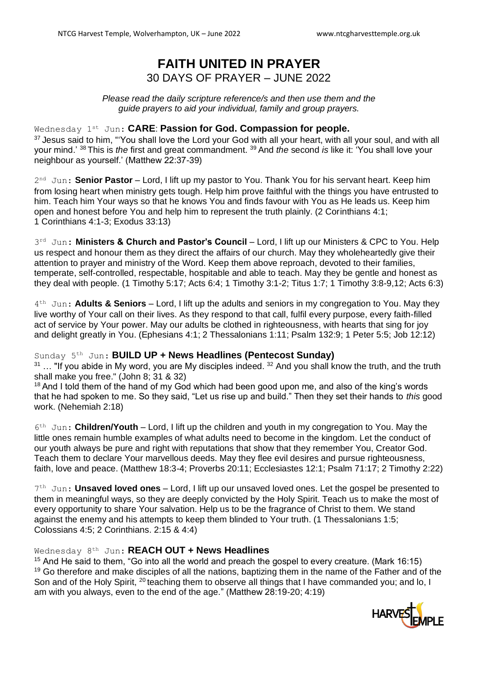# **FAITH UNITED IN PRAYER** 30 DAYS OF PRAYER – JUNE 2022

*Please read the daily scripture reference/s and then use them and the guide prayers to aid your individual, family and group prayers.*

### Wednesday 1st Jun: **CARE**: **Passion for God. Compassion for people.**

<sup>37</sup> Jesus said to him, "'You shall love the Lord your God with all your heart, with all your soul, and with all your mind.' <sup>38</sup> This is *the* first and great commandment. <sup>39</sup> And *the* second *is* like it: 'You shall love your neighbour as yourself.' (Matthew 22:37-39)

2<sup>nd</sup> Jun: **Senior Pastor** – Lord, I lift up my pastor to You. Thank You for his servant heart. Keep him from losing heart when ministry gets tough. Help him prove faithful with the things you have entrusted to him. Teach him Your ways so that he knows You and finds favour with You as He leads us. Keep him open and honest before You and help him to represent the truth plainly. (2 Corinthians 4:1; 1 Corinthians 4:1-3; Exodus 33:13)

3 rd Jun: **Ministers & Church and Pastor's Council** – Lord, I lift up our Ministers & CPC to You. Help us respect and honour them as they direct the affairs of our church. May they wholeheartedly give their attention to prayer and ministry of the Word. Keep them above reproach, devoted to their families, temperate, self-controlled, respectable, hospitable and able to teach. May they be gentle and honest as they deal with people. (1 Timothy 5:17; Acts 6:4; 1 Timothy 3:1-2; Titus 1:7; 1 Timothy 3:8-9,12; Acts 6:3)

4 th Jun: **Adults & Seniors** – Lord, I lift up the adults and seniors in my congregation to You. May they live worthy of Your call on their lives. As they respond to that call, fulfil every purpose, every faith-filled act of service by Your power. May our adults be clothed in righteousness, with hearts that sing for joy and delight greatly in You. (Ephesians 4:1; 2 Thessalonians 1:11; Psalm 132:9; 1 Peter 5:5; Job 12:12)

Sunday 5 th Jun: **BUILD UP + News Headlines (Pentecost Sunday)**

 $31$  ... "If you abide in My word, you are My disciples indeed.  $32$  And you shall know the truth, and the truth shall make you free." (John 8; 31 & 32)

<sup>18</sup> And I told them of the hand of my God which had been good upon me, and also of the king's words that he had spoken to me. So they said, "Let us rise up and build." Then they set their hands to *this* good work. (Nehemiah 2:18)

6 th Jun: **Children/Youth** – Lord, I lift up the children and youth in my congregation to You. May the little ones remain humble examples of what adults need to become in the kingdom. Let the conduct of our youth always be pure and right with reputations that show that they remember You, Creator God. Teach them to declare Your marvellous deeds. May they flee evil desires and pursue righteousness, faith, love and peace. (Matthew 18:3-4; Proverbs 20:11; Ecclesiastes 12:1; Psalm 71:17; 2 Timothy 2:22)

7<sup>th</sup> Jun: **Unsaved loved ones** – Lord, I lift up our unsaved loved ones. Let the gospel be presented to them in meaningful ways, so they are deeply convicted by the Holy Spirit. Teach us to make the most of every opportunity to share Your salvation. Help us to be the fragrance of Christ to them. We stand against the enemy and his attempts to keep them blinded to Your truth. (1 Thessalonians 1:5; Colossians 4:5; 2 Corinthians. 2:15 & 4:4)

# Wednesday 8 th Jun: **REACH OUT + News Headlines**

<sup>15</sup> And He said to them, "Go into all the world and preach the gospel to every creature. (Mark 16:15) <sup>19</sup> Go therefore and make disciples of all the nations, baptizing them in the name of the Father and of the Son and of the Holy Spirit, <sup>20</sup> teaching them to observe all things that I have commanded you; and lo, I am with you always, even to the end of the age." (Matthew 28:19-20; 4:19)

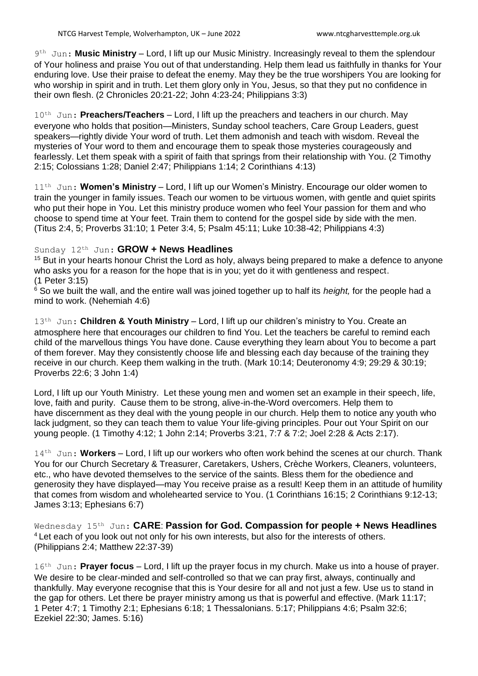9<sup>th</sup> Jun: Music Ministry – Lord, I lift up our Music Ministry. Increasingly reveal to them the splendour of Your holiness and praise You out of that understanding. Help them lead us faithfully in thanks for Your enduring love. Use their praise to defeat the enemy. May they be the true worshipers You are looking for who worship in spirit and in truth. Let them glory only in You, Jesus, so that they put no confidence in their own flesh. (2 Chronicles 20:21-22; John 4:23-24; Philippians 3:3)

10<sup>th</sup> Jun: **Preachers/Teachers** – Lord, I lift up the preachers and teachers in our church. May everyone who holds that position—Ministers, Sunday school teachers, Care Group Leaders, guest speakers—rightly divide Your word of truth. Let them admonish and teach with wisdom. Reveal the mysteries of Your word to them and encourage them to speak those mysteries courageously and fearlessly. Let them speak with a spirit of faith that springs from their relationship with You. (2 Timothy 2:15; Colossians 1:28; Daniel 2:47; Philippians 1:14; 2 Corinthians 4:13)

11<sup>th</sup> Jun: **Women's Ministry** – Lord, I lift up our Women's Ministry. Encourage our older women to train the younger in family issues. Teach our women to be virtuous women, with gentle and quiet spirits who put their hope in You. Let this ministry produce women who feel Your passion for them and who choose to spend time at Your feet. Train them to contend for the gospel side by side with the men. (Titus 2:4, 5; Proverbs 31:10; 1 Peter 3:4, 5; Psalm 45:11; Luke 10:38-42; Philippians 4:3)

#### Sunday 12 th Jun: **GROW + News Headlines**

 $15$  But in your hearts honour Christ the Lord as holy, always being prepared to make a defence to anyone who asks you for a reason for the hope that is in you; yet do it with gentleness and respect. (1 Peter 3:15)

<sup>6</sup> So we built the wall, and the entire wall was joined together up to half its *height*, for the people had a mind to work. (Nehemiah 4:6)

13<sup>th</sup> Jun: Children & Youth Ministry – Lord, I lift up our children's ministry to You. Create an atmosphere here that encourages our children to find You. Let the teachers be careful to remind each child of the marvellous things You have done. Cause everything they learn about You to become a part of them forever. May they consistently choose life and blessing each day because of the training they receive in our church. Keep them walking in the truth. (Mark 10:14; Deuteronomy 4:9; 29:29 & 30:19; Proverbs 22:6; 3 John 1:4)

Lord, I lift up our Youth Ministry. Let these young men and women set an example in their speech, life, love, faith and purity. Cause them to be strong, alive-in-the-Word overcomers. Help them to have discernment as they deal with the young people in our church. Help them to notice any youth who lack judgment, so they can teach them to value Your life-giving principles. Pour out Your Spirit on our young people. (1 Timothy 4:12; 1 John 2:14; Proverbs 3:21, 7:7 & 7:2; Joel 2:28 & Acts 2:17).

14<sup>th</sup> Jun: Workers - Lord, I lift up our workers who often work behind the scenes at our church. Thank You for our Church Secretary & Treasurer, Caretakers, Ushers, Crèche Workers, Cleaners, volunteers, etc., who have devoted themselves to the service of the saints. Bless them for the obedience and generosity they have displayed—may You receive praise as a result! Keep them in an attitude of humility that comes from wisdom and wholehearted service to You. (1 Corinthians 16:15; 2 Corinthians 9:12-13; James 3:13; Ephesians 6:7)

Wednesday 15 th Jun: **CARE**: **Passion for God. Compassion for people + News Headlines** <sup>4</sup>Let each of you look out not only for his own interests, but also for the interests of others. (Philippians 2:4; Matthew 22:37-39)

16<sup>th</sup> Jun: **Prayer focus** – Lord, I lift up the prayer focus in my church. Make us into a house of prayer. We desire to be clear-minded and self-controlled so that we can pray first, always, continually and thankfully. May everyone recognise that this is Your desire for all and not just a few. Use us to stand in the gap for others. Let there be prayer ministry among us that is powerful and effective. (Mark 11:17; 1 Peter 4:7; 1 Timothy 2:1; Ephesians 6:18; 1 Thessalonians. 5:17; Philippians 4:6; Psalm 32:6; Ezekiel 22:30; James. 5:16)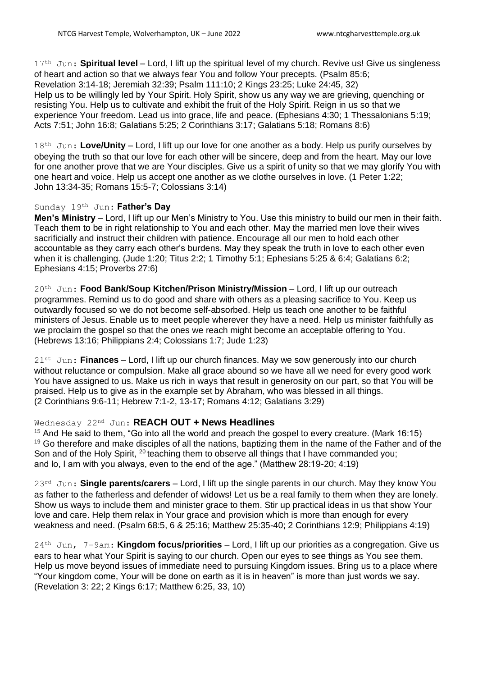17<sup>th</sup> Jun: **Spiritual level** – Lord, I lift up the spiritual level of my church. Revive us! Give us singleness of heart and action so that we always fear You and follow Your precepts. (Psalm 85:6; Revelation 3:14-18; Jeremiah 32:39; Psalm 111:10; 2 Kings 23:25; Luke 24:45, 32) Help us to be willingly led by Your Spirit. Holy Spirit, show us any way we are grieving, quenching or resisting You. Help us to cultivate and exhibit the fruit of the Holy Spirit. Reign in us so that we experience Your freedom. Lead us into grace, life and peace. (Ephesians 4:30; 1 Thessalonians 5:19; Acts 7:51; John 16:8; Galatians 5:25; 2 Corinthians 3:17; Galatians 5:18; Romans 8:6)

18<sup>th</sup> Jun: Love/Unity – Lord, I lift up our love for one another as a body. Help us purify ourselves by obeying the truth so that our love for each other will be sincere, deep and from the heart. May our love for one another prove that we are Your disciples. Give us a spirit of unity so that we may glorify You with one heart and voice. Help us accept one another as we clothe ourselves in love. (1 Peter 1:22; John 13:34-35; Romans 15:5-7; Colossians 3:14)

# Sunday 19th Jun: **Father's Day**

**Men's Ministry** – Lord, I lift up our Men's Ministry to You. Use this ministry to build our men in their faith. Teach them to be in right relationship to You and each other. May the married men love their wives sacrificially and instruct their children with patience. Encourage all our men to hold each other accountable as they carry each other's burdens. May they speak the truth in love to each other even when it is challenging. (Jude 1:20; Titus 2:2; 1 Timothy 5:1; Ephesians 5:25 & 6:4; Galatians 6:2; Ephesians 4:15; Proverbs 27:6)

20th Jun: **Food Bank/Soup Kitchen/Prison Ministry/Mission** – Lord, I lift up our outreach programmes. Remind us to do good and share with others as a pleasing sacrifice to You. Keep us outwardly focused so we do not become self-absorbed. Help us teach one another to be faithful ministers of Jesus. Enable us to meet people wherever they have a need. Help us minister faithfully as we proclaim the gospel so that the ones we reach might become an acceptable offering to You. (Hebrews 13:16; Philippians 2:4; Colossians 1:7; Jude 1:23)

21st Jun: **Finances** – Lord, I lift up our church finances. May we sow generously into our church without reluctance or compulsion. Make all grace abound so we have all we need for every good work You have assigned to us. Make us rich in ways that result in generosity on our part, so that You will be praised. Help us to give as in the example set by Abraham, who was blessed in all things. (2 Corinthians 9:6-11; Hebrew 7:1-2, 13-17; Romans 4:12; Galatians 3:29)

# Wednesday 22nd Jun: **REACH OUT + News Headlines**

 $15$  And He said to them, "Go into all the world and preach the gospel to every creature. (Mark 16:15) <sup>19</sup> Go therefore and make disciples of all the nations, baptizing them in the name of the Father and of the Son and of the Holy Spirit, <sup>20</sup> teaching them to observe all things that I have commanded you; and lo, I am with you always, even to the end of the age." (Matthew 28:19-20; 4:19)

23rd Jun: **Single parents/carers** – Lord, I lift up the single parents in our church. May they know You as father to the fatherless and defender of widows! Let us be a real family to them when they are lonely. Show us ways to include them and minister grace to them. Stir up practical ideas in us that show Your love and care. Help them relax in Your grace and provision which is more than enough for every weakness and need. (Psalm 68:5, 6 & 25:16; Matthew 25:35-40; 2 Corinthians 12:9; Philippians 4:19)

24th Jun, 7-9am: **Kingdom focus/priorities** – Lord, I lift up our priorities as a congregation. Give us ears to hear what Your Spirit is saying to our church. Open our eyes to see things as You see them. Help us move beyond issues of immediate need to pursuing Kingdom issues. Bring us to a place where "Your kingdom come, Your will be done on earth as it is in heaven" is more than just words we say. (Revelation 3: 22; 2 Kings 6:17; Matthew 6:25, 33, 10)